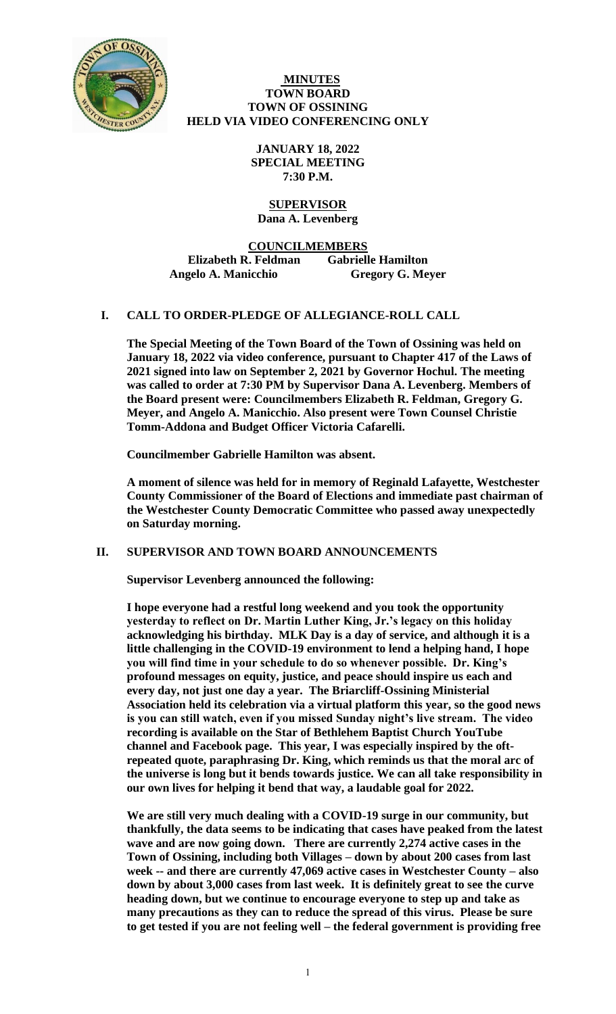

### **MINUTES TOWN BOARD TOWN OF OSSINING HELD VIA VIDEO CONFERENCING ONLY**

**JANUARY 18, 2022 SPECIAL MEETING 7:30 P.M.**

## **SUPERVISOR Dana A. Levenberg**

**COUNCILMEMBERS Elizabeth R. Feldman Gabrielle Hamilton Angelo A. Manicchio Gregory G. Meyer**

# **I. CALL TO ORDER-PLEDGE OF ALLEGIANCE-ROLL CALL**

**The Special Meeting of the Town Board of the Town of Ossining was held on January 18, 2022 via video conference, pursuant to Chapter 417 of the Laws of 2021 signed into law on September 2, 2021 by Governor Hochul. The meeting was called to order at 7:30 PM by Supervisor Dana A. Levenberg. Members of the Board present were: Councilmembers Elizabeth R. Feldman, Gregory G. Meyer, and Angelo A. Manicchio. Also present were Town Counsel Christie Tomm-Addona and Budget Officer Victoria Cafarelli.**

**Councilmember Gabrielle Hamilton was absent.**

**A moment of silence was held for in memory of Reginald Lafayette, Westchester County Commissioner of the Board of Elections and immediate past chairman of the Westchester County Democratic Committee who passed away unexpectedly on Saturday morning.** 

### **II. SUPERVISOR AND TOWN BOARD ANNOUNCEMENTS**

**Supervisor Levenberg announced the following:**

**I hope everyone had a restful long weekend and you took the opportunity yesterday to reflect on Dr. Martin Luther King, Jr.'s legacy on this holiday acknowledging his birthday. MLK Day is a day of service, and although it is a little challenging in the COVID-19 environment to lend a helping hand, I hope you will find time in your schedule to do so whenever possible. Dr. King's profound messages on equity, justice, and peace should inspire us each and every day, not just one day a year. The Briarcliff-Ossining Ministerial Association held its celebration via a virtual platform this year, so the good news is you can still watch, even if you missed Sunday night's live stream. The video recording is available on the Star of Bethlehem Baptist Church YouTube channel and Facebook page. This year, I was especially inspired by the oftrepeated quote, paraphrasing Dr. King, which reminds us that the moral arc of the universe is long but it bends towards justice. We can all take responsibility in our own lives for helping it bend that way, a laudable goal for 2022.** 

**We are still very much dealing with a COVID-19 surge in our community, but thankfully, the data seems to be indicating that cases have peaked from the latest wave and are now going down. There are currently 2,274 active cases in the Town of Ossining, including both Villages – down by about 200 cases from last week -- and there are currently 47,069 active cases in Westchester County – also down by about 3,000 cases from last week. It is definitely great to see the curve heading down, but we continue to encourage everyone to step up and take as many precautions as they can to reduce the spread of this virus. Please be sure to get tested if you are not feeling well – the federal government is providing free**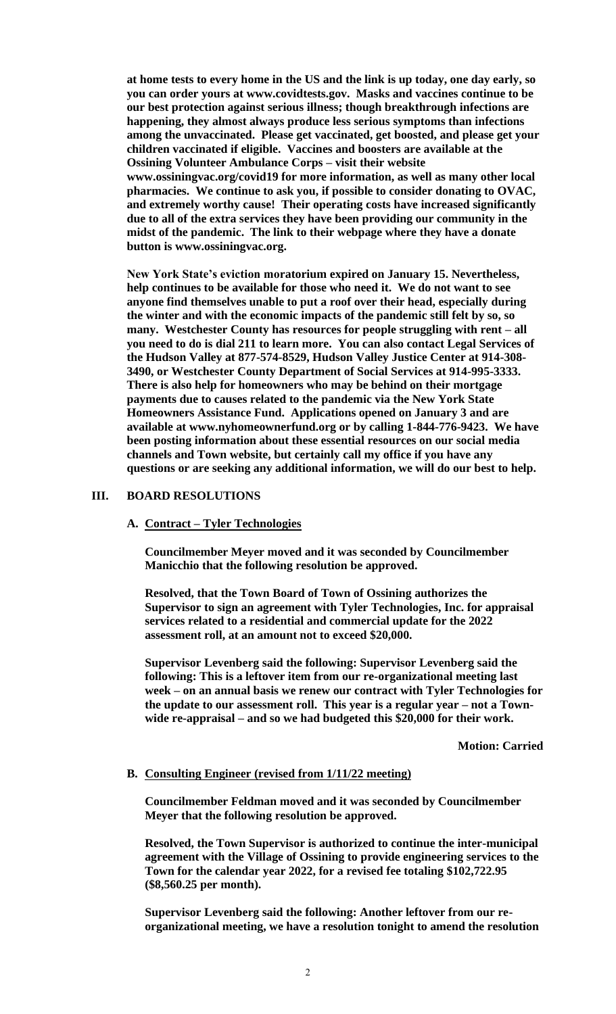**at home tests to every home in the US and the link is up today, one day early, so you can order yours at www.covidtests.gov. Masks and vaccines continue to be our best protection against serious illness; though breakthrough infections are happening, they almost always produce less serious symptoms than infections among the unvaccinated. Please get vaccinated, get boosted, and please get your children vaccinated if eligible. Vaccines and boosters are available at the Ossining Volunteer Ambulance Corps – visit their website www.ossiningvac.org/covid19 for more information, as well as many other local pharmacies. We continue to ask you, if possible to consider donating to OVAC, and extremely worthy cause! Their operating costs have increased significantly due to all of the extra services they have been providing our community in the midst of the pandemic. The link to their webpage where they have a donate button is www.ossiningvac.org.** 

**New York State's eviction moratorium expired on January 15. Nevertheless, help continues to be available for those who need it. We do not want to see anyone find themselves unable to put a roof over their head, especially during the winter and with the economic impacts of the pandemic still felt by so, so many. Westchester County has resources for people struggling with rent – all you need to do is dial 211 to learn more. You can also contact Legal Services of the Hudson Valley at 877-574-8529, Hudson Valley Justice Center at 914-308- 3490, or Westchester County Department of Social Services at 914-995-3333. There is also help for homeowners who may be behind on their mortgage payments due to causes related to the pandemic via the New York State Homeowners Assistance Fund. Applications opened on January 3 and are available at www.nyhomeownerfund.org or by calling 1-844-776-9423. We have been posting information about these essential resources on our social media channels and Town website, but certainly call my office if you have any questions or are seeking any additional information, we will do our best to help.**

#### **III. BOARD RESOLUTIONS**

**A. Contract – Tyler Technologies**

**Councilmember Meyer moved and it was seconded by Councilmember Manicchio that the following resolution be approved.**

**Resolved, that the Town Board of Town of Ossining authorizes the Supervisor to sign an agreement with Tyler Technologies, Inc. for appraisal services related to a residential and commercial update for the 2022 assessment roll, at an amount not to exceed \$20,000.**

**Supervisor Levenberg said the following: Supervisor Levenberg said the following: This is a leftover item from our re-organizational meeting last week – on an annual basis we renew our contract with Tyler Technologies for the update to our assessment roll. This year is a regular year – not a Townwide re-appraisal – and so we had budgeted this \$20,000 for their work.** 

**Motion: Carried**

#### **B. Consulting Engineer (revised from 1/11/22 meeting)**

**Councilmember Feldman moved and it was seconded by Councilmember Meyer that the following resolution be approved.**

**Resolved, the Town Supervisor is authorized to continue the inter-municipal agreement with the Village of Ossining to provide engineering services to the Town for the calendar year 2022, for a revised fee totaling \$102,722.95 (\$8,560.25 per month).** 

**Supervisor Levenberg said the following: Another leftover from our reorganizational meeting, we have a resolution tonight to amend the resolution**